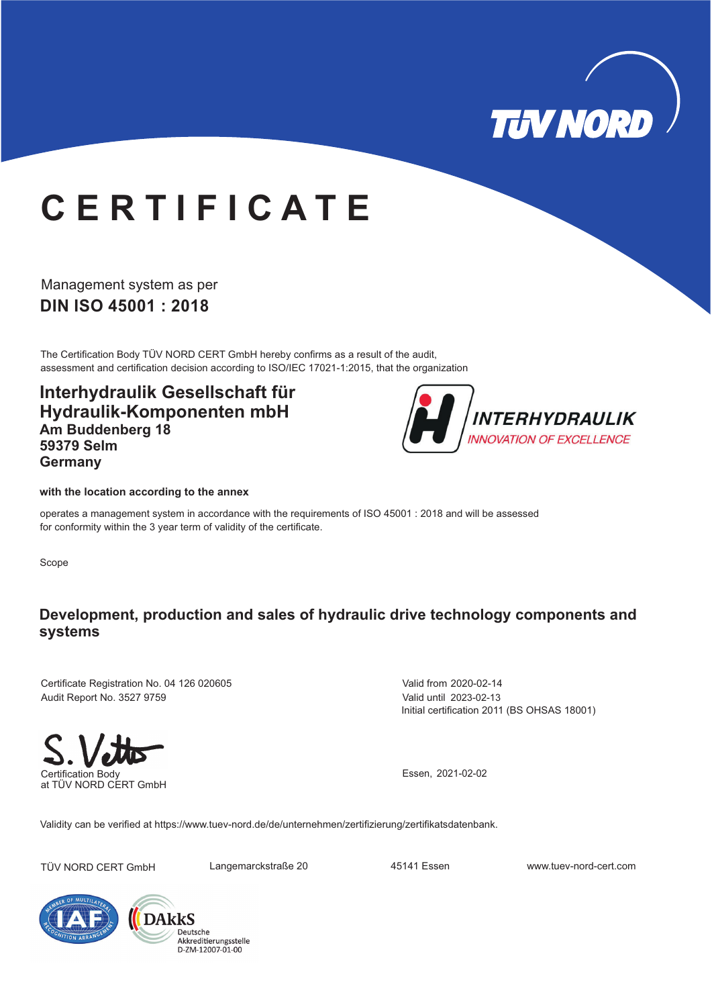

# **C E R T I F I C A T E**

**DIN ISO 45001 : 2018** Management system as per

The Certification Body TÜV NORD CERT GmbH hereby confirms as a result of the audit, assessment and certification decision according to ISO/IEC 17021-1:2015, that the organization

**Interhydraulik Gesellschaft für Hydraulik-Komponenten mbH Am Buddenberg 18 59379 Selm Germany**



### **with the location according to the annex**

operates a management system in accordance with the requirements of ISO 45001 : 2018 and will be assessed for conformity within the 3 year term of validity of the certificate.

Scope

## **Development, production and sales of hydraulic drive technology components and systems**

Certificate Registration No. 04 126 020605 Audit Report No. 3527 9759

Initial certification 2011 (BS OHSAS 18001) Valid from 2020-02-14 Valid until 2023-02-13

Certification Body at TÜV NORD CERT GmbH

Essen, 2021-02-02

Validity can be verified at https://www.tuev-nord.de/de/unternehmen/zertifizierung/zertifikatsdatenbank.

TÜV NORD CERT GmbH Langemarckstraße 20 45141 Essen www.tuev-nord-cert.com